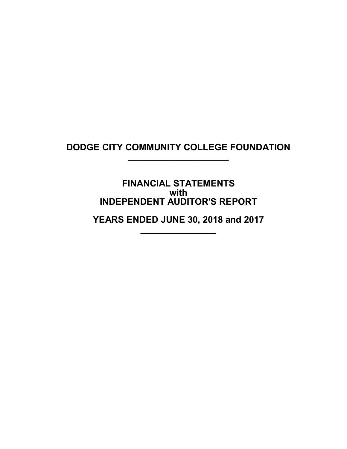# **DODGE CITY COMMUNITY COLLEGE FOUNDATION \_\_\_\_\_\_\_\_\_\_\_\_\_\_\_\_\_\_\_\_**

**FINANCIAL STATEMENTS with INDEPENDENT AUDITOR'S REPORT**

**YEARS ENDED JUNE 30, 2018 and 2017 \_\_\_\_\_\_\_\_\_\_\_\_\_\_\_**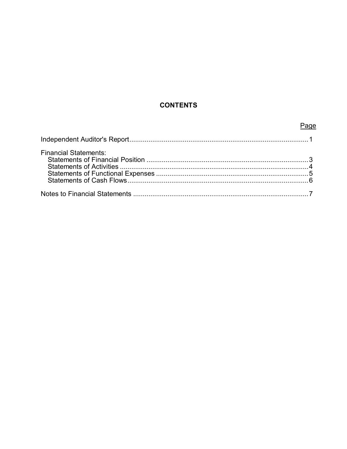# **CONTENTS**

| <b>Financial Statements:</b> |  |
|------------------------------|--|
|                              |  |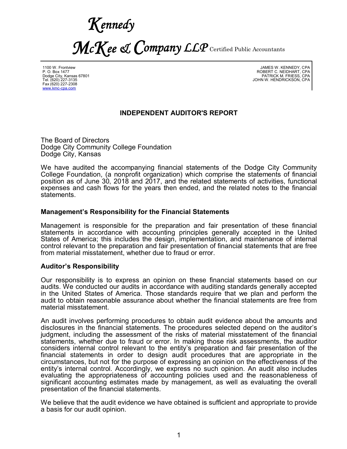*McKee & Company LLP* Certified Public Accountants

1100 W. Frontview P. O. Box 1477 Dodge City, Kansas 67801 Tel. (620) 227-3135 Fax (620) 227-2308 www.kmc-cpa.com

JAMES W. KENNEDY, CPA ROBERT C. NEIDHART, CPA PATRICK M. FRIESS, CPA JOHN W. HENDRICKSON, CPA

### **INDEPENDENT AUDITOR'S REPORT**

The Board of Directors Dodge City Community College Foundation Dodge City, Kansas

*Kennedy*

We have audited the accompanying financial statements of the Dodge City Community College Foundation, (a nonprofit organization) which comprise the statements of financial position as of June 30, 2018 and 2017, and the related statements of activities, functional expenses and cash flows for the years then ended, and the related notes to the financial statements.

### **Management's Responsibility for the Financial Statements**

Management is responsible for the preparation and fair presentation of these financial statements in accordance with accounting principles generally accepted in the United States of America; this includes the design, implementation, and maintenance of internal control relevant to the preparation and fair presentation of financial statements that are free from material misstatement, whether due to fraud or error.

#### **Auditor's Responsibility**

Our responsibility is to express an opinion on these financial statements based on our audits. We conducted our audits in accordance with auditing standards generally accepted in the United States of America. Those standards require that we plan and perform the audit to obtain reasonable assurance about whether the financial statements are free from material misstatement.

An audit involves performing procedures to obtain audit evidence about the amounts and disclosures in the financial statements. The procedures selected depend on the auditor's judgment, including the assessment of the risks of material misstatement of the financial statements, whether due to fraud or error. In making those risk assessments, the auditor considers internal control relevant to the entity's preparation and fair presentation of the financial statements in order to design audit procedures that are appropriate in the circumstances, but not for the purpose of expressing an opinion on the effectiveness of the entity's internal control. Accordingly, we express no such opinion. An audit also includes evaluating the appropriateness of accounting policies used and the reasonableness of significant accounting estimates made by management, as well as evaluating the overall presentation of the financial statements.

We believe that the audit evidence we have obtained is sufficient and appropriate to provide a basis for our audit opinion.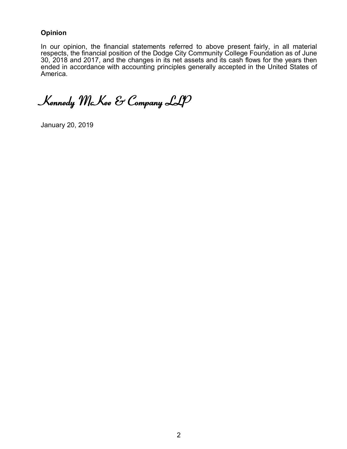## **Opinion**

In our opinion, the financial statements referred to above present fairly, in all material respects, the financial position of the Dodge City Community College Foundation as of June 30, 2018 and 2017, and the changes in its net assets and its cash flows for the years then ended in accordance with accounting principles generally accepted in the United States of America.

*Kennedy McKee & Company LLP*

January 20, 2019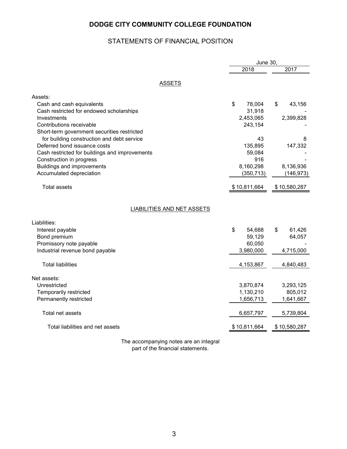# STATEMENTS OF FINANCIAL POSITION

|                                                | June 30,     |              |
|------------------------------------------------|--------------|--------------|
|                                                | 2018         | 2017         |
| <b>ASSETS</b>                                  |              |              |
| Assets:                                        |              |              |
| Cash and cash equivalents                      | \$<br>78,004 | \$<br>43,156 |
| Cash restricted for endowed scholarships       | 31,918       |              |
| Investments                                    | 2,453,065    | 2,399,828    |
| Contributions receivable                       | 243,154      |              |
| Short-term government securities restricted    |              |              |
| for building construction and debt service     | 43           | 8            |
| Deferred bond issuance costs                   | 135,895      | 147,332      |
| Cash restricted for buildings and improvements | 59,084       |              |
| Construction in progress                       | 916          |              |
| Buildings and improvements                     | 8,160,298    | 8,136,936    |
| Accumulated depreciation                       | (350, 713)   | (146, 973)   |
| <b>Total assets</b>                            | \$10,811,664 | \$10,580,287 |
| LIABILITIES AND NET ASSETS                     |              |              |
| Liabilities:                                   |              |              |
| Interest payable                               | \$<br>54,688 | \$<br>61,426 |
| Bond premium                                   | 59,129       | 64,057       |
| Promissory note payable                        | 60,050       |              |
| Industrial revenue bond payable                | 3,980,000    | 4,715,000    |
| <b>Total liabilities</b>                       | 4,153,867    | 4,840,483    |
| Net assets:                                    |              |              |
| Unrestricted                                   | 3,870,874    | 3,293,125    |
| Temporarily restricted                         | 1,130,210    | 805,012      |
| Permanently restricted                         | 1,656,713    | 1,641,667    |
| Total net assets                               | 6,657,797    | 5,739,804    |
| Total liabilities and net assets               | \$10,811,664 | \$10,580,287 |
|                                                |              |              |

The accompanying notes are an integral part of the financial statements.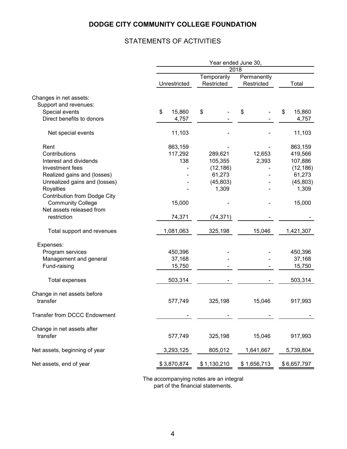# STATEMENTS OF ACTIVITIES

| 2018<br>Temporarily<br>Permanently<br>Restricted<br>Restricted<br>Total<br>Unrestricted<br>Support and revenues:<br>Special events<br>\$<br>15,860<br>15,860<br>\$<br>\$<br>\$<br>Direct benefits to donors<br>4,757<br>4,757<br>Net special events<br>11,103<br>11,103<br>863,159<br>Rent<br>863,159<br>117,292<br>12,653<br>Contributions<br>289,621<br>419,566<br>138<br>2,393<br>107,886<br>Interest and dividends<br>105,355<br>Investment fees<br>(12, 186)<br>(12, 186)<br>61,273<br>Realized gains and (losses)<br>61,273<br>Unrealized gains and (losses)<br>(45, 803)<br>(45, 803)<br>Royalties<br>1,309<br>1,309<br>Contribution from Dodge City<br><b>Community College</b><br>15,000<br>15,000<br>Net assets released from<br>restriction<br>74,371<br>(74, 371)<br>Total support and revenues<br>1,081,063<br>325,198<br>15,046<br>1,421,307<br>Expenses:<br>Program services<br>450,396<br>450,396<br>Management and general<br>37,168<br>37,168<br>Fund-raising<br>15,750<br>15,750<br>503,314<br>503,314<br>Total expenses<br>transfer<br>577,749<br>325,198<br>15,046<br>917,993<br>Transfer from DCCC Endowment<br>577,749<br>15,046<br>917,993<br>transfer<br>325,198<br>3,293,125<br>805,012<br>1,641,667<br>5,739,804<br>Net assets, end of year<br>\$3,870,874<br>\$1,130,210<br>\$1,656,713<br>\$6,657,797 |                               | Year ended June 30, |  |  |  |  |  |
|------------------------------------------------------------------------------------------------------------------------------------------------------------------------------------------------------------------------------------------------------------------------------------------------------------------------------------------------------------------------------------------------------------------------------------------------------------------------------------------------------------------------------------------------------------------------------------------------------------------------------------------------------------------------------------------------------------------------------------------------------------------------------------------------------------------------------------------------------------------------------------------------------------------------------------------------------------------------------------------------------------------------------------------------------------------------------------------------------------------------------------------------------------------------------------------------------------------------------------------------------------------------------------------------------------------------------------|-------------------------------|---------------------|--|--|--|--|--|
|                                                                                                                                                                                                                                                                                                                                                                                                                                                                                                                                                                                                                                                                                                                                                                                                                                                                                                                                                                                                                                                                                                                                                                                                                                                                                                                                    |                               |                     |  |  |  |  |  |
|                                                                                                                                                                                                                                                                                                                                                                                                                                                                                                                                                                                                                                                                                                                                                                                                                                                                                                                                                                                                                                                                                                                                                                                                                                                                                                                                    |                               |                     |  |  |  |  |  |
|                                                                                                                                                                                                                                                                                                                                                                                                                                                                                                                                                                                                                                                                                                                                                                                                                                                                                                                                                                                                                                                                                                                                                                                                                                                                                                                                    |                               |                     |  |  |  |  |  |
|                                                                                                                                                                                                                                                                                                                                                                                                                                                                                                                                                                                                                                                                                                                                                                                                                                                                                                                                                                                                                                                                                                                                                                                                                                                                                                                                    | Changes in net assets:        |                     |  |  |  |  |  |
|                                                                                                                                                                                                                                                                                                                                                                                                                                                                                                                                                                                                                                                                                                                                                                                                                                                                                                                                                                                                                                                                                                                                                                                                                                                                                                                                    |                               |                     |  |  |  |  |  |
|                                                                                                                                                                                                                                                                                                                                                                                                                                                                                                                                                                                                                                                                                                                                                                                                                                                                                                                                                                                                                                                                                                                                                                                                                                                                                                                                    |                               |                     |  |  |  |  |  |
|                                                                                                                                                                                                                                                                                                                                                                                                                                                                                                                                                                                                                                                                                                                                                                                                                                                                                                                                                                                                                                                                                                                                                                                                                                                                                                                                    |                               |                     |  |  |  |  |  |
|                                                                                                                                                                                                                                                                                                                                                                                                                                                                                                                                                                                                                                                                                                                                                                                                                                                                                                                                                                                                                                                                                                                                                                                                                                                                                                                                    |                               |                     |  |  |  |  |  |
|                                                                                                                                                                                                                                                                                                                                                                                                                                                                                                                                                                                                                                                                                                                                                                                                                                                                                                                                                                                                                                                                                                                                                                                                                                                                                                                                    |                               |                     |  |  |  |  |  |
|                                                                                                                                                                                                                                                                                                                                                                                                                                                                                                                                                                                                                                                                                                                                                                                                                                                                                                                                                                                                                                                                                                                                                                                                                                                                                                                                    |                               |                     |  |  |  |  |  |
|                                                                                                                                                                                                                                                                                                                                                                                                                                                                                                                                                                                                                                                                                                                                                                                                                                                                                                                                                                                                                                                                                                                                                                                                                                                                                                                                    |                               |                     |  |  |  |  |  |
|                                                                                                                                                                                                                                                                                                                                                                                                                                                                                                                                                                                                                                                                                                                                                                                                                                                                                                                                                                                                                                                                                                                                                                                                                                                                                                                                    |                               |                     |  |  |  |  |  |
|                                                                                                                                                                                                                                                                                                                                                                                                                                                                                                                                                                                                                                                                                                                                                                                                                                                                                                                                                                                                                                                                                                                                                                                                                                                                                                                                    |                               |                     |  |  |  |  |  |
|                                                                                                                                                                                                                                                                                                                                                                                                                                                                                                                                                                                                                                                                                                                                                                                                                                                                                                                                                                                                                                                                                                                                                                                                                                                                                                                                    |                               |                     |  |  |  |  |  |
|                                                                                                                                                                                                                                                                                                                                                                                                                                                                                                                                                                                                                                                                                                                                                                                                                                                                                                                                                                                                                                                                                                                                                                                                                                                                                                                                    |                               |                     |  |  |  |  |  |
|                                                                                                                                                                                                                                                                                                                                                                                                                                                                                                                                                                                                                                                                                                                                                                                                                                                                                                                                                                                                                                                                                                                                                                                                                                                                                                                                    |                               |                     |  |  |  |  |  |
|                                                                                                                                                                                                                                                                                                                                                                                                                                                                                                                                                                                                                                                                                                                                                                                                                                                                                                                                                                                                                                                                                                                                                                                                                                                                                                                                    |                               |                     |  |  |  |  |  |
|                                                                                                                                                                                                                                                                                                                                                                                                                                                                                                                                                                                                                                                                                                                                                                                                                                                                                                                                                                                                                                                                                                                                                                                                                                                                                                                                    |                               |                     |  |  |  |  |  |
|                                                                                                                                                                                                                                                                                                                                                                                                                                                                                                                                                                                                                                                                                                                                                                                                                                                                                                                                                                                                                                                                                                                                                                                                                                                                                                                                    |                               |                     |  |  |  |  |  |
|                                                                                                                                                                                                                                                                                                                                                                                                                                                                                                                                                                                                                                                                                                                                                                                                                                                                                                                                                                                                                                                                                                                                                                                                                                                                                                                                    |                               |                     |  |  |  |  |  |
|                                                                                                                                                                                                                                                                                                                                                                                                                                                                                                                                                                                                                                                                                                                                                                                                                                                                                                                                                                                                                                                                                                                                                                                                                                                                                                                                    |                               |                     |  |  |  |  |  |
|                                                                                                                                                                                                                                                                                                                                                                                                                                                                                                                                                                                                                                                                                                                                                                                                                                                                                                                                                                                                                                                                                                                                                                                                                                                                                                                                    |                               |                     |  |  |  |  |  |
|                                                                                                                                                                                                                                                                                                                                                                                                                                                                                                                                                                                                                                                                                                                                                                                                                                                                                                                                                                                                                                                                                                                                                                                                                                                                                                                                    |                               |                     |  |  |  |  |  |
|                                                                                                                                                                                                                                                                                                                                                                                                                                                                                                                                                                                                                                                                                                                                                                                                                                                                                                                                                                                                                                                                                                                                                                                                                                                                                                                                    |                               |                     |  |  |  |  |  |
|                                                                                                                                                                                                                                                                                                                                                                                                                                                                                                                                                                                                                                                                                                                                                                                                                                                                                                                                                                                                                                                                                                                                                                                                                                                                                                                                    |                               |                     |  |  |  |  |  |
|                                                                                                                                                                                                                                                                                                                                                                                                                                                                                                                                                                                                                                                                                                                                                                                                                                                                                                                                                                                                                                                                                                                                                                                                                                                                                                                                    | Change in net assets before   |                     |  |  |  |  |  |
|                                                                                                                                                                                                                                                                                                                                                                                                                                                                                                                                                                                                                                                                                                                                                                                                                                                                                                                                                                                                                                                                                                                                                                                                                                                                                                                                    |                               |                     |  |  |  |  |  |
|                                                                                                                                                                                                                                                                                                                                                                                                                                                                                                                                                                                                                                                                                                                                                                                                                                                                                                                                                                                                                                                                                                                                                                                                                                                                                                                                    | Change in net assets after    |                     |  |  |  |  |  |
|                                                                                                                                                                                                                                                                                                                                                                                                                                                                                                                                                                                                                                                                                                                                                                                                                                                                                                                                                                                                                                                                                                                                                                                                                                                                                                                                    |                               |                     |  |  |  |  |  |
|                                                                                                                                                                                                                                                                                                                                                                                                                                                                                                                                                                                                                                                                                                                                                                                                                                                                                                                                                                                                                                                                                                                                                                                                                                                                                                                                    | Net assets, beginning of year |                     |  |  |  |  |  |
|                                                                                                                                                                                                                                                                                                                                                                                                                                                                                                                                                                                                                                                                                                                                                                                                                                                                                                                                                                                                                                                                                                                                                                                                                                                                                                                                    |                               |                     |  |  |  |  |  |

The accompanying notes are an integral part of the financial statements.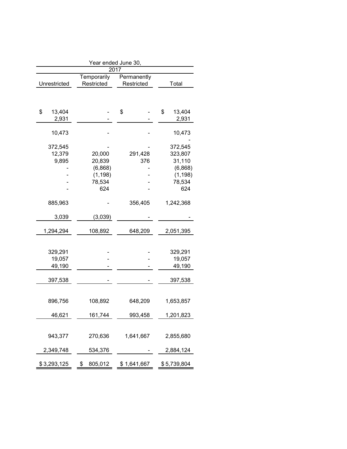|              | Year ended June 30, |             |              |
|--------------|---------------------|-------------|--------------|
|              | 2017                |             |              |
|              | Temporarily         | Permanently |              |
| Unrestricted | Restricted          | Restricted  | <b>Total</b> |
|              |                     |             |              |
|              |                     |             |              |
|              |                     |             |              |
| \$<br>13,404 |                     | \$          | \$<br>13,404 |
| 2,931        |                     |             | 2,931        |
|              |                     |             | 10,473       |
| 10,473       |                     |             |              |
| 372,545      |                     |             | 372,545      |
| 12,379       | 20,000              | 291,428     | 323,807      |
| 9,895        | 20,839              | 376         | 31,110       |
|              | (6,868)             |             | (6,868)      |
|              | (1, 198)            |             | (1, 198)     |
|              | 78,534              |             | 78,534       |
|              | 624                 |             | 624          |
|              |                     |             |              |
| 885,963      |                     | 356,405     | 1,242,368    |
|              |                     |             |              |
| 3,039        | (3,039)             |             |              |
|              |                     |             |              |
| 1,294,294    | 108,892             | 648,209     | 2,051,395    |
|              |                     |             |              |
|              |                     |             |              |
| 329,291      |                     |             | 329,291      |
| 19,057       |                     |             | 19,057       |
| 49,190       |                     |             | 49,190       |
|              |                     |             |              |
| 397,538      |                     |             | 397,538      |
|              |                     |             |              |
| 896,756      | 108,892             | 648,209     | 1,653,857    |
|              |                     |             |              |
| 46,621       | 161,744             | 993,458     | 1,201,823    |
|              |                     |             |              |
|              |                     |             |              |
| 943,377      | 270,636             | 1,641,667   | 2,855,680    |
|              |                     |             |              |
| 2,349,748    | 534,376             |             | 2,884,124    |
|              |                     |             |              |
| \$3,293,125  | \$<br>805,012       | \$1,641,667 | \$5,739,804  |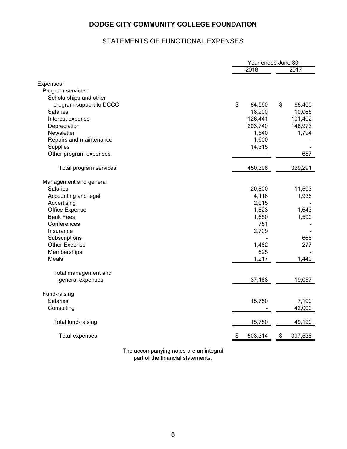# STATEMENTS OF FUNCTIONAL EXPENSES

|                                            |                  | Year ended June 30, |
|--------------------------------------------|------------------|---------------------|
|                                            | $\frac{1}{2018}$ | 2017                |
|                                            |                  |                     |
| Expenses:                                  |                  |                     |
| Program services:                          |                  |                     |
| Scholarships and other                     | \$<br>84,560     | \$<br>68,400        |
| program support to DCCC<br><b>Salaries</b> | 18,200           |                     |
|                                            | 126,441          | 10,065<br>101,402   |
| Interest expense                           |                  |                     |
| Depreciation                               | 203,740          | 146,973             |
| Newsletter                                 | 1,540            | 1,794               |
| Repairs and maintenance                    | 1,600            |                     |
| Supplies                                   | 14,315           |                     |
| Other program expenses                     |                  | 657                 |
| Total program services                     | 450,396          | 329,291             |
| Management and general                     |                  |                     |
| <b>Salaries</b>                            | 20,800           | 11,503              |
| Accounting and legal                       | 4,116            | 1,936               |
| Advertising                                | 2,015            |                     |
| Office Expense                             | 1,823            | 1,643               |
| <b>Bank Fees</b>                           | 1,650            | 1,590               |
| Conferences                                | 751              |                     |
| Insurance                                  | 2,709            |                     |
|                                            |                  | 668                 |
| Subscriptions                              |                  | 277                 |
| Other Expense                              | 1,462            |                     |
| Memberships                                | 625              |                     |
| Meals                                      | 1,217            | 1,440               |
| Total management and                       |                  |                     |
| general expenses                           | 37,168           | 19,057              |
| Fund-raising                               |                  |                     |
| <b>Salaries</b>                            | 15,750           | 7,190               |
| Consulting                                 |                  | 42,000              |
|                                            |                  |                     |
| Total fund-raising                         | 15,750           | 49,190              |
| <b>Total expenses</b>                      | \$<br>503,314    | 397,538<br>\$       |
|                                            |                  |                     |

part of the financial statements. The accompanying notes are an integral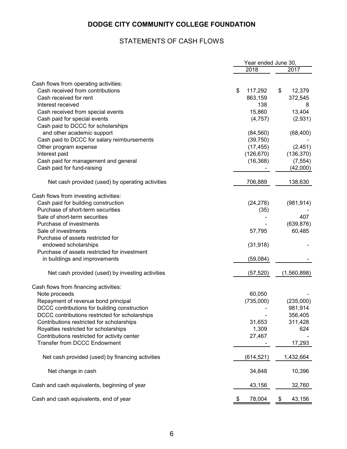# STATEMENTS OF CASH FLOWS

|                                                  | Year ended June 30, |              |
|--------------------------------------------------|---------------------|--------------|
|                                                  | 2018                | 2017         |
|                                                  |                     |              |
| Cash flows from operating activities:            |                     |              |
| Cash received from contributions                 | \$<br>117,292       | \$<br>12,379 |
| Cash received for rent                           | 863,159             | 372,545      |
| Interest received                                | 138                 | 8            |
| Cash received from special events                | 15,860              | 13,404       |
| Cash paid for special events                     | (4, 757)            | (2,931)      |
| Cash paid to DCCC for scholarships               |                     |              |
| and other academic support                       | (84, 560)           | (68, 400)    |
| Cash paid to DCCC for salary reimbursements      | (39, 750)           |              |
| Other program expense                            | (17, 455)           | (2, 451)     |
| Interest paid                                    | (126, 670)          | (136, 370)   |
| Cash paid for management and general             | (16, 368)           | (7, 554)     |
| Cash paid for fund-raising                       |                     | (42,000)     |
|                                                  | 706,889             | 138,630      |
| Net cash provided (used) by operating activities |                     |              |
| Cash flows from investing activities:            |                     |              |
| Cash paid for building construction              | (24, 278)           | (981, 914)   |
| Purchase of short-term securities                | (35)                |              |
| Sale of short-term securities                    |                     | 407          |
| Purchase of investments                          |                     | (639, 876)   |
| Sale of investments                              | 57,795              | 60,485       |
| Purchase of assets restricted for                |                     |              |
| endowed scholarships                             | (31, 918)           |              |
| Purchase of assets restricted for investment     |                     |              |
| in buildings and improvements                    | (59,084)            |              |
|                                                  |                     |              |
| Net cash provided (used) by investing activities | (57, 520)           | (1,560,898)  |
| Cash flows from financing activities:            |                     |              |
| Note proceeds                                    | 60,050              |              |
| Repayment of revenue bond principal              | (735,000)           | (235,000)    |
| DCCC contributions for building construction     |                     | 981,914      |
| DCCC contributions restricted for scholarships   |                     | 356,405      |
| Contributions restricted for scholarships        | 31,653              | 311,428      |
| Royalties restricted for scholarships            | 1,309               | 624          |
| Contributions restricted for activity center     | 27,467              |              |
| <b>Transfer from DCCC Endowment</b>              |                     | 17,293       |
|                                                  |                     |              |
| Net cash provided (used) by financing activities | (614, 521)          | 1,432,664    |
| Net change in cash                               | 34,848              | 10,396       |
| Cash and cash equivalents, beginning of year     | 43,156              | 32,760       |
| Cash and cash equivalents, end of year           | \$<br>78,004        | \$<br>43,156 |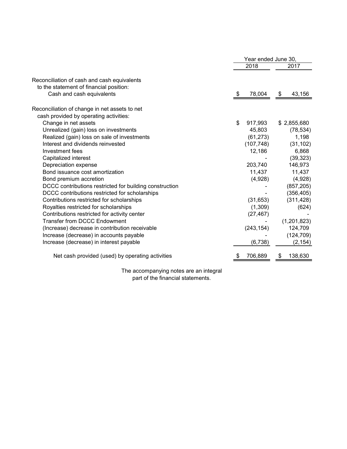|                                                                                        | Year ended June 30, |               |
|----------------------------------------------------------------------------------------|---------------------|---------------|
|                                                                                        | 2018                | 2017          |
| Reconciliation of cash and cash equivalents<br>to the statement of financial position: |                     |               |
| Cash and cash equivalents                                                              | 78,004              | \$<br>43,156  |
| Reconciliation of change in net assets to net                                          |                     |               |
| cash provided by operating activities:                                                 |                     |               |
| Change in net assets                                                                   | \$<br>917,993       | \$2,855,680   |
| Unrealized (gain) loss on investments                                                  | 45,803              | (78, 534)     |
| Realized (gain) loss on sale of investments                                            | (61, 273)           | 1,198         |
| Interest and dividends reinvested                                                      | (107, 748)          | (31, 102)     |
| Investment fees                                                                        | 12,186              | 6,868         |
| Capitalized interest                                                                   |                     | (39, 323)     |
| Depreciation expense                                                                   | 203,740             | 146,973       |
| Bond issuance cost amortization                                                        | 11,437              | 11,437        |
| Bond premium accretion                                                                 | (4,928)             | (4,928)       |
| DCCC contributions restricted for building construction                                |                     | (857, 205)    |
| DCCC contributions restricted for scholarships                                         |                     | (356, 405)    |
| Contributions restricted for scholarships                                              | (31, 653)           | (311, 428)    |
| Royalties restricted for scholarships                                                  | (1,309)             | (624)         |
| Contributions restricted for activity center                                           | (27, 467)           |               |
| <b>Transfer from DCCC Endowment</b>                                                    |                     | (1,201,823)   |
| (Increase) decrease in contribution receivable                                         | (243, 154)          | 124,709       |
| Increase (decrease) in accounts payable                                                |                     | (124, 709)    |
| Increase (decrease) in interest payable                                                | (6, 738)            | (2, 154)      |
| Net cash provided (used) by operating activities                                       | \$<br>706,889       | \$<br>138,630 |

The accompanying notes are an integral part of the financial statements.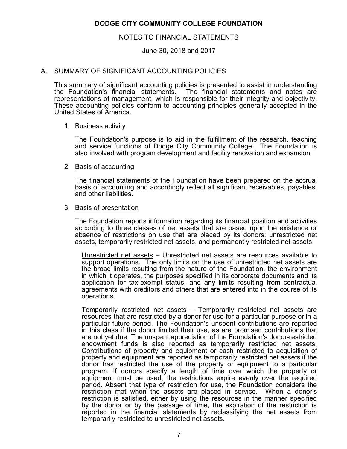### NOTES TO FINANCIAL STATEMENTS

### June 30, 2018 and 2017

### A. SUMMARY OF SIGNIFICANT ACCOUNTING POLICIES

This summary of significant accounting policies is presented to assist in understanding the Foundation's financial statements. The financial statements and notes are representations of management, which is responsible for their integrity and objectivity. These accounting policies conform to accounting principles generally accepted in the United States of America.

#### 1. Business activity

The Foundation's purpose is to aid in the fulfillment of the research, teaching and service functions of Dodge City Community College. The Foundation is also involved with program development and facility renovation and expansion.

#### 2. Basis of accounting

 The financial statements of the Foundation have been prepared on the accrual basis of accounting and accordingly reflect all significant receivables, payables, and other liabilities.

#### 3. Basis of presentation

 The Foundation reports information regarding its financial position and activities according to three classes of net assets that are based upon the existence or absence of restrictions on use that are placed by its donors: unrestricted net assets, temporarily restricted net assets, and permanently restricted net assets.

 Unrestricted net assets – Unrestricted net assets are resources available to support operations. The only limits on the use of unrestricted net assets are the broad limits resulting from the nature of the Foundation, the environment in which it operates, the purposes specified in its corporate documents and its application for tax-exempt status, and any limits resulting from contractual agreements with creditors and others that are entered into in the course of its operations.

 Temporarily restricted net assets – Temporarily restricted net assets are resources that are restricted by a donor for use for a particular purpose or in a particular future period. The Foundation's unspent contributions are reported in this class if the donor limited their use, as are promised contributions that are not yet due. The unspent appreciation of the Foundation's donor-restricted endowment funds is also reported as temporarily restricted net assets. Contributions of property and equipment or cash restricted to acquisition of property and equipment are reported as temporarily restricted net assets if the donor has restricted the use of the property or equipment to a particular program. If donors specify a length of time over which the property or equipment must be used, the restrictions expire evenly over the required period. Absent that type of restriction for use, the Foundation considers the restriction met when the assets are placed in service. When a donor's restriction is satisfied, either by using the resources in the manner specified by the donor or by the passage of time, the expiration of the restriction is reported in the financial statements by reclassifying the net assets from temporarily restricted to unrestricted net assets.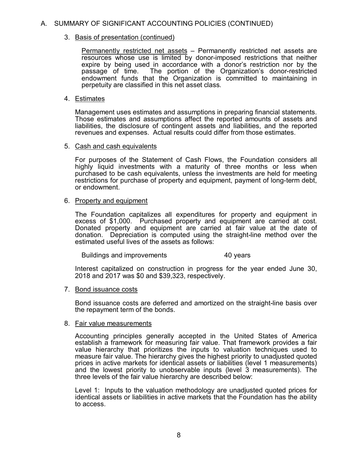### A. SUMMARY OF SIGNIFICANT ACCOUNTING POLICIES (CONTINUED)

### 3. Basis of presentation (continued)

 Permanently restricted net assets – Permanently restricted net assets are resources whose use is limited by donor-imposed restrictions that neither expire by being used in accordance with a donor's restriction nor by the passage of time. The portion of the Organization's donor-restricted The portion of the Organization's donor-restricted endowment funds that the Organization is committed to maintaining in perpetuity are classified in this net asset class.

### 4. Estimates

 Management uses estimates and assumptions in preparing financial statements. Those estimates and assumptions affect the reported amounts of assets and liabilities, the disclosure of contingent assets and liabilities, and the reported revenues and expenses. Actual results could differ from those estimates.

### 5. Cash and cash equivalents

For purposes of the Statement of Cash Flows, the Foundation considers all highly liquid investments with a maturity of three months or less when purchased to be cash equivalents, unless the investments are held for meeting restrictions for purchase of property and equipment, payment of long-term debt, or endowment.

### 6. Property and equipment

 The Foundation capitalizes all expenditures for property and equipment in excess of \$1,000. Purchased property and equipment are carried at cost. Donated property and equipment are carried at fair value at the date of donation. Depreciation is computed using the straight-line method over the estimated useful lives of the assets as follows:

Buildings and improvements 40 years

 Interest capitalized on construction in progress for the year ended June 30, 2018 and 2017 was \$0 and \$39,323, respectively.

### 7. Bond issuance costs

 Bond issuance costs are deferred and amortized on the straight-line basis over the repayment term of the bonds.

#### 8. Fair value measurements

 Accounting principles generally accepted in the United States of America establish a framework for measuring fair value. That framework provides a fair value hierarchy that prioritizes the inputs to valuation techniques used to measure fair value. The hierarchy gives the highest priority to unadjusted quoted prices in active markets for identical assets or liabilities (level 1 measurements) and the lowest priority to unobservable inputs (level 3 measurements). The three levels of the fair value hierarchy are described below:

 Level 1: Inputs to the valuation methodology are unadjusted quoted prices for identical assets or liabilities in active markets that the Foundation has the ability to access.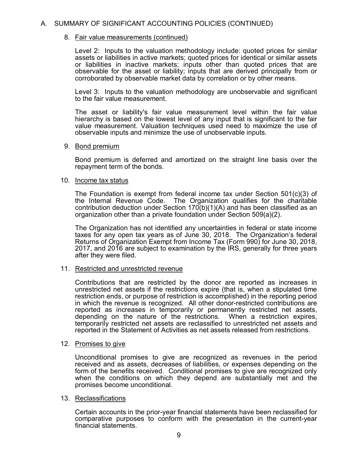### A. SUMMARY OF SIGNIFICANT ACCOUNTING POLICIES (CONTINUED)

### 8. Fair value measurements (continued)

 Level 2: Inputs to the valuation methodology include: quoted prices for similar assets or liabilities in active markets; quoted prices for identical or similar assets or liabilities in inactive markets; inputs other than quoted prices that are observable for the asset or liability; inputs that are derived principally from or corroborated by observable market data by correlation or by other means.

 Level 3: Inputs to the valuation methodology are unobservable and significant to the fair value measurement.

 The asset or liability's fair value measurement level within the fair value hierarchy is based on the lowest level of any input that is significant to the fair value measurement. Valuation techniques used need to maximize the use of observable inputs and minimize the use of unobservable inputs.

#### 9. Bond premium

 Bond premium is deferred and amortized on the straight line basis over the repayment term of the bonds.

#### 10. Income tax status

 The Foundation is exempt from federal income tax under Section 501(c)(3) of the Internal Revenue Code. The Organization qualifies for the charitable contribution deduction under Section 170(b)(1)(A) and has been classified as an organization other than a private foundation under Section 509(a)(2).

The Organization has not identified any uncertainties in federal or state income taxes for any open tax years as of June 30, 2018. The Organization's federal Returns of Organization Exempt from Income Tax (Form 990) for June 30, 2018, 2017, and 2016 are subject to examination by the IRS, generally for three years after they were filed.

#### 11. Restricted and unrestricted revenue

Contributions that are restricted by the donor are reported as increases in unrestricted net assets if the restrictions expire (that is, when a stipulated time restriction ends, or purpose of restriction is accomplished) in the reporting period in which the revenue is recognized. All other donor-restricted contributions are reported as increases in temporarily or permanently restricted net assets, depending on the nature of the restrictions. When a restriction expires, temporarily restricted net assets are reclassified to unrestricted net assets and reported in the Statement of Activities as net assets released from restrictions.

#### 12. Promises to give

Unconditional promises to give are recognized as revenues in the period received and as assets, decreases of liabilities, or expenses depending on the form of the benefits received. Conditional promises to give are recognized only when the conditions on which they depend are substantially met and the promises become unconditional.

#### 13. Reclassifications

Certain accounts in the prior-year financial statements have been reclassified for comparative purposes to conform with the presentation in the current-year financial statements.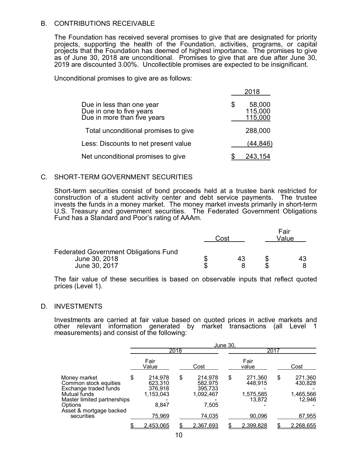### B. CONTRIBUTIONS RECEIVABLE

The Foundation has received several promises to give that are designated for priority projects, supporting the health of the Foundation, activities, programs, or capital projects that the Foundation has deemed of highest importance. The promises to give as of June 30, 2018 are unconditional. Promises to give that are due after June 30, 2019 are discounted 3.00%. Uncollectible promises are expected to be insignificant.

Unconditional promises to give are as follows:

|                                                                                      | 2018                               |
|--------------------------------------------------------------------------------------|------------------------------------|
| Due in less than one year<br>Due in one to five years<br>Due in more than five years | \$<br>58,000<br>115,000<br>115,000 |
| Total unconditional promises to give                                                 | 288,000                            |
| Less: Discounts to net present value                                                 | (44, 846)                          |
| Net unconditional promises to give                                                   | 243.                               |

### C. SHORT-TERM GOVERNMENT SECURITIES

Short-term securities consist of bond proceeds held at a trustee bank restricted for construction of a student activity center and debt service payments. The trustee invests the funds in a money market. The money market invests primarily in short-term U.S. Treasury and government securities. The Federated Government Obligations Fund has a Standard and Poor's rating of AAAm.

|                                                                                |         | Cost | Fair<br>√alue |
|--------------------------------------------------------------------------------|---------|------|---------------|
| <b>Federated Government Obligations Fund</b><br>June 30, 2018<br>June 30, 2017 | \$<br>S | 43   | 43            |

The fair value of these securities is based on observable inputs that reflect quoted prices (Level 1).

### D. INVESTMENTS

Investments are carried at fair value based on quoted prices in active markets and other relevant information generated by market transactions (all Level 1 measurements) and consist of the following:

|                                                                                                                                                                   |                                                           |      |                                                     | June 30. |                                           |      |                                           |
|-------------------------------------------------------------------------------------------------------------------------------------------------------------------|-----------------------------------------------------------|------|-----------------------------------------------------|----------|-------------------------------------------|------|-------------------------------------------|
|                                                                                                                                                                   |                                                           | 2018 |                                                     |          |                                           | 2017 |                                           |
|                                                                                                                                                                   | Fair<br>Value                                             |      | Cost                                                |          | Fair<br>value                             |      | Cost                                      |
| Money market<br>Common stock equities<br>Exchange traded funds<br>Mutual funds<br>Master limited partnerships<br>Options<br>Asset & mortgage backed<br>securities | \$<br>214,978<br>623,310<br>376,918<br>1,153,043<br>8,847 | \$   | 214,978<br>582,975<br>395,733<br>1,092,467<br>7,505 | \$       | 271,360<br>448,915<br>1,575,585<br>13,872 | \$   | 271,360<br>430,828<br>1,465,566<br>12,946 |
|                                                                                                                                                                   | 75,969                                                    |      | 74,035                                              |          | 90,096                                    |      | 87,955                                    |
|                                                                                                                                                                   | 2.453.065                                                 |      | <u>2.367.693</u>                                    |          | 2.399.828                                 |      | 2.268.655                                 |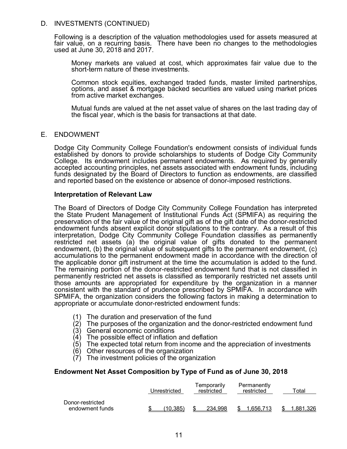### D. INVESTMENTS (CONTINUED)

Following is a description of the valuation methodologies used for assets measured at fair value, on a recurring basis. There have been no changes to the methodologies used at June 30, 2018 and 2017.

Money markets are valued at cost, which approximates fair value due to the short-term nature of these investments.

Common stock equities, exchanged traded funds, master limited partnerships, options, and asset & mortgage backed securities are valued using market prices from active market exchanges.

Mutual funds are valued at the net asset value of shares on the last trading day of the fiscal year, which is the basis for transactions at that date.

#### E. ENDOWMENT

Dodge City Community College Foundation's endowment consists of individual funds established by donors to provide scholarships to students of Dodge City Community College. Its endowment includes permanent endowments. As required by generally accepted accounting principles, net assets associated with endowment funds, including funds designated by the Board of Directors to function as endowments, are classified and reported based on the existence or absence of donor-imposed restrictions.

#### **Interpretation of Relevant Law**

The Board of Directors of Dodge City Community College Foundation has interpreted the State Prudent Management of Institutional Funds Act (SPMIFA) as requiring the preservation of the fair value of the original gift as of the gift date of the donor-restricted endowment funds absent explicit donor stipulations to the contrary. As a result of this interpretation, Dodge City Community College Foundation classifies as permanently restricted net assets (a) the original value of gifts donated to the permanent endowment, (b) the original value of subsequent gifts to the permanent endowment, (c) accumulations to the permanent endowment made in accordance with the direction of the applicable donor gift instrument at the time the accumulation is added to the fund. The remaining portion of the donor-restricted endowment fund that is not classified in permanently restricted net assets is classified as temporarily restricted net assets until those amounts are appropriated for expenditure by the organization in a manner consistent with the standard of prudence prescribed by SPMIFA. In accordance with SPMIFA, the organization considers the following factors in making a determination to appropriate or accumulate donor-restricted endowment funds:

- The duration and preservation of the fund
- $(2)$  The purposes of the organization and the donor-restricted endowment fund
- (3) General economic conditions
- (4) The possible effect of inflation and deflation
- (5) The expected total return from income and the appreciation of investments
- (6) Other resources of the organization
- (7) The investment policies of the organization

### **Endowment Net Asset Composition by Type of Fund as of June 30, 2018**

|                                     | Unrestricted | Temporarily<br>restricted | Permanently<br>restricted | ™otal |
|-------------------------------------|--------------|---------------------------|---------------------------|-------|
| Donor-restricted<br>endowment funds | 10.385`      | 234.998                   | .656.713                  | .326  |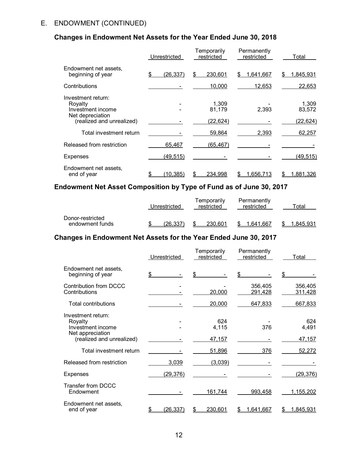# E. ENDOWMENT (CONTINUED)

# **Changes in Endowment Net Assets for the Year Ended June 30, 2018**

|                                                                        | Unrestricted | Temporarily<br>restricted | Permanently<br>restricted | Total           |
|------------------------------------------------------------------------|--------------|---------------------------|---------------------------|-----------------|
| Endowment net assets.<br>beginning of year                             | (26, 337)    | 230,601<br>\$             | 1,641,667<br>\$.          | 1,845,931<br>SS |
| Contributions                                                          |              | 10,000                    | 12,653                    | 22,653          |
| Investment return:<br>Rovalty<br>Investment income<br>Net depreciation |              | 1,309<br>81,179           | 2,393                     | 1,309<br>83,572 |
| (realized and unrealized)                                              |              | (22, 624)                 |                           | (22, 624)       |
| Total investment return                                                |              | 59,864                    | 2,393                     | 62,257          |
| Released from restriction                                              | 65,467       | (65, 467)                 |                           |                 |
| Expenses                                                               | (49, 515)    |                           |                           | (49, 515)       |
| Endowment net assets,<br>end of year                                   | (10.385)     | <u>234.998</u>            | .656.713                  | <u>.881.326</u> |

# **Endowment Net Asset Composition by Type of Fund as of June 30, 2017**

|                                     | Unrestricted | Temporarily<br>restricted | Permanently<br>restricted | ™otaı    |
|-------------------------------------|--------------|---------------------------|---------------------------|----------|
| Donor-restricted<br>endowment funds | (26.337)     | 230.601                   | 1.641.667<br>S.           | .845.931 |

# **Changes in Endowment Net Assets for the Year Ended June 30, 2017**

|                                                                                                     | Unrestricted | Temporarily<br>restricted | Permanently<br>restricted | Total                  |
|-----------------------------------------------------------------------------------------------------|--------------|---------------------------|---------------------------|------------------------|
| Endowment net assets,<br>beginning of year                                                          | \$           | \$                        | \$                        | \$                     |
| Contribution from DCCC<br>Contributions                                                             |              | 20,000                    | 356,405<br>291,428        | 356,405<br>311,428     |
| Total contributions                                                                                 |              | 20,000                    | 647,833                   | 667,833                |
| Investment return:<br>Royalty<br>Investment income<br>Net appreciation<br>(realized and unrealized) |              | 624<br>4,115<br>47,157    | 376                       | 624<br>4,491<br>47,157 |
| Total investment return                                                                             |              | 51,896                    | 376                       | 52,272                 |
| Released from restriction                                                                           | 3,039        | (3,039)                   |                           |                        |
| Expenses                                                                                            | (29, 376)    |                           |                           | (29, 376)              |
| <b>Transfer from DCCC</b><br>Endowment                                                              |              | 161,744                   | 993,458                   | 1,155,202              |
| Endowment net assets,<br>end of year                                                                | (26, 337)    | 230,601                   | 1,641,667<br>S            | <u>1,845,931</u>       |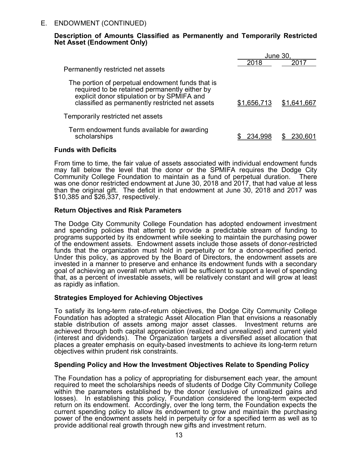## E. ENDOWMENT (CONTINUED)

### **Description of Amounts Classified as Permanently and Temporarily Restricted Net Asset (Endowment Only)**

|                                                                                                                                                                                                     | June 30     |             |  |
|-----------------------------------------------------------------------------------------------------------------------------------------------------------------------------------------------------|-------------|-------------|--|
|                                                                                                                                                                                                     | 2018        | 2017        |  |
| Permanently restricted net assets                                                                                                                                                                   |             |             |  |
| The portion of perpetual endowment funds that is<br>required to be retained permanently either by<br>explicit donor stipulation or by SPMIFA and<br>classified as permanently restricted net assets | \$1,656,713 | \$1,641,667 |  |
| Temporarily restricted net assets                                                                                                                                                                   |             |             |  |
| Term endowment funds available for awarding<br>scholarships                                                                                                                                         |             |             |  |

### **Funds with Deficits**

From time to time, the fair value of assets associated with individual endowment funds may fall below the level that the donor or the SPMIFA requires the Dodge City Community College Foundation to maintain as a fund of perpetual duration. There was one donor restricted endowment at June 30, 2018 and 2017, that had value at less than the original gift. The deficit in that endowment at June 30, 2018 and 2017 was \$10,385 and \$26,337, respectively.

### **Return Objectives and Risk Parameters**

The Dodge City Community College Foundation has adopted endowment investment and spending policies that attempt to provide a predictable stream of funding to programs supported by its endowment while seeking to maintain the purchasing power of the endowment assets. Endowment assets include those assets of donor-restricted funds that the organization must hold in perpetuity or for a donor-specified period. Under this policy, as approved by the Board of Directors, the endowment assets are invested in a manner to preserve and enhance its endowment funds with a secondary goal of achieving an overall return which will be sufficient to support a level of spending that, as a percent of investable assets, will be relatively constant and will grow at least as rapidly as inflation.

## **Strategies Employed for Achieving Objectives**

To satisfy its long-term rate-of-return objectives, the Dodge City Community College Foundation has adopted a strategic Asset Allocation Plan that envisions a reasonably stable distribution of assets among major asset classes. Investment returns are achieved through both capital appreciation (realized and unrealized) and current yield (interest and dividends). The Organization targets a diversified asset allocation that places a greater emphasis on equity-based investments to achieve its long-term return objectives within prudent risk constraints.

### **Spending Policy and How the Investment Objectives Relate to Spending Policy**

The Foundation has a policy of appropriating for disbursement each year, the amount required to meet the scholarships needs of students of Dodge City Community College within the parameters established by the donor (exclusive of unrealized gains and losses). In establishing this policy, Foundation considered the long-term expected return on its endowment. Accordingly, over the long term, the Foundation expects the current spending policy to allow its endowment to grow and maintain the purchasing power of the endowment assets held in perpetuity or for a specified term as well as to provide additional real growth through new gifts and investment return.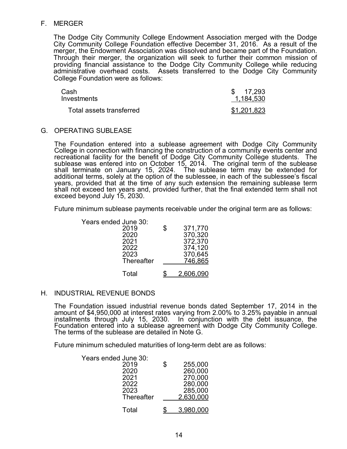### F. MERGER

The Dodge City Community College Endowment Association merged with the Dodge City Community College Foundation effective December 31, 2016. As a result of the merger, the Endowment Association was dissolved and became part of the Foundation. Through their merger, the organization will seek to further their common mission of providing financial assistance to the Dodge City Community College while reducing administrative overhead costs. Assets transferred to the Dodge City Community College Foundation were as follows:

| Cash                     | \$ 17,293   |
|--------------------------|-------------|
| Investments              | 1,184,530   |
| Total assets transferred | \$1,201,823 |

#### G. OPERATING SUBLEASE

The Foundation entered into a sublease agreement with Dodge City Community College in connection with financing the construction of a community events center and recreational facility for the benefit of Dodge City Community College students. The sublease was entered into on October 15, 2014. The original term of the sublease shall terminate on January 15, 2024. The sublease term may be extended for additional terms, solely at the option of the sublessee, in each of the sublessee's fiscal years, provided that at the time of any such extension the remaining sublease term shall not exceed ten years and, provided further, that the final extended term shall not exceed beyond July 15, 2030.

Future minimum sublease payments receivable under the original term are as follows:

| Years ended June 30:<br>2019<br>2020<br>2021<br>2022<br>2023 |            | \$<br>371,770<br>370,320<br>372,370<br>374,120<br>370,645 |
|--------------------------------------------------------------|------------|-----------------------------------------------------------|
|                                                              | Thereafter | 746,865                                                   |
| Total                                                        |            | 2,606,090                                                 |

#### H. INDUSTRIAL REVENUE BONDS

The Foundation issued industrial revenue bonds dated September 17, 2014 in the amount of \$4,950,000 at interest rates varying from 2.00% to 3.25% payable in annual installments through July 15, 2030. In conjunction with the debt issuance, the Foundation entered into a sublease agreement with Dodge City Community College. The terms of the sublease are detailed in Note G.

Future minimum scheduled maturities of long-term debt are as follows:

| Years ended June 30: |               |
|----------------------|---------------|
| 2019                 | \$<br>255,000 |
| 2020                 | 260,000       |
| 2021                 | 270,000       |
| 2022                 | 280,000       |
| 2023                 | 285,000       |
| Thereafter           | 2,630,000     |
|                      |               |
| Total                | 3,980,000     |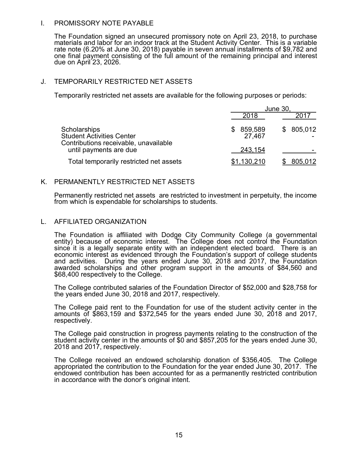### I. PROMISSORY NOTE PAYABLE

The Foundation signed an unsecured promissory note on April 23, 2018, to purchase materials and labor for an indoor track at the Student Activity Center. This is a variable rate note (6.20% at June 30, 2018) payable in seven annual installments of \$9,782 and one final payment consisting of the full amount of the remaining principal and interest due on April 23, 2026.

## J. TEMPORARILY RESTRICTED NET ASSETS

Temporarily restricted net assets are available for the following purposes or periods:

|                                                                                           | June 30.                 |           |  |
|-------------------------------------------------------------------------------------------|--------------------------|-----------|--|
|                                                                                           | 2018                     | 2017      |  |
| Scholarships<br><b>Student Activities Center</b><br>Contributions receivable, unavailable | 859,589<br>SS.<br>27,467 | \$805,012 |  |
| until payments are due                                                                    | 243,154                  |           |  |
| Total temporarily restricted net assets                                                   | ,130,210                 | 805,012   |  |

## K. PERMANENTLY RESTRICTED NET ASSETS

Permanently restricted net assets are restricted to investment in perpetuity, the income from which is expendable for scholarships to students.

### L. AFFILIATED ORGANIZATION

The Foundation is affiliated with Dodge City Community College (a governmental entity) because of economic interest. The College does not control the Foundation since it is a legally separate entity with an independent elected board. There is an economic interest as evidenced through the Foundation's support of college students and activities. During the years ended June 30, 2018 and 2017, the Foundation awarded scholarships and other program support in the amounts of \$84,560 and \$68,400 respectively to the College.

The College contributed salaries of the Foundation Director of \$52,000 and \$28,758 for the years ended June 30, 2018 and 2017, respectively.

The College paid rent to the Foundation for use of the student activity center in the amounts of \$863,159 and \$372,545 for the years ended June 30, 2018 and 2017, respectively.

The College paid construction in progress payments relating to the construction of the student activity center in the amounts of \$0 and \$857,205 for the years ended June 30, 2018 and 2017, respectively.

The College received an endowed scholarship donation of \$356,405. The College appropriated the contribution to the Foundation for the year ended June 30, 2017. The endowed contribution has been accounted for as a permanently restricted contribution in accordance with the donor's original intent.